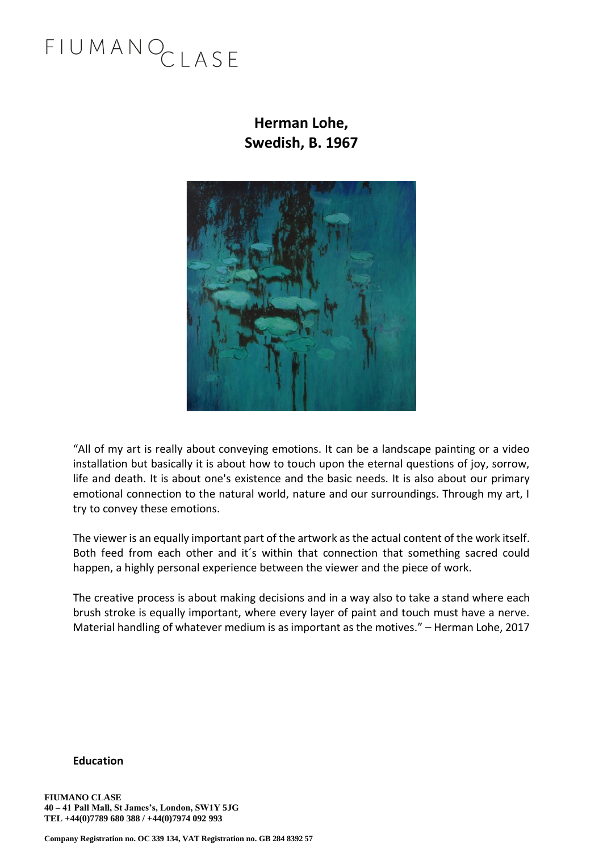## FIUMANOCLASE

### **Herman Lohe, Swedish, B. 1967**



"All of my art is really about conveying emotions. It can be a landscape painting or a video installation but basically it is about how to touch upon the eternal questions of joy, sorrow, life and death. It is about one's existence and the basic needs. It is also about our primary emotional connection to the natural world, nature and our surroundings. Through my art, I try to convey these emotions.

The viewer is an equally important part of the artwork as the actual content of the work itself. Both feed from each other and it´s within that connection that something sacred could happen, a highly personal experience between the viewer and the piece of work.

The creative process is about making decisions and in a way also to take a stand where each brush stroke is equally important, where every layer of paint and touch must have a nerve. Material handling of whatever medium is as important as the motives." – Herman Lohe, 2017

#### **Education**

**FIUMANO CLASE 40 – 41 Pall Mall, St James's, London, SW1Y 5JG TEL +44(0)7789 680 388 / +44(0)7974 092 993**

**Company Registration no. OC 339 134, VAT Registration no. GB 284 8392 57**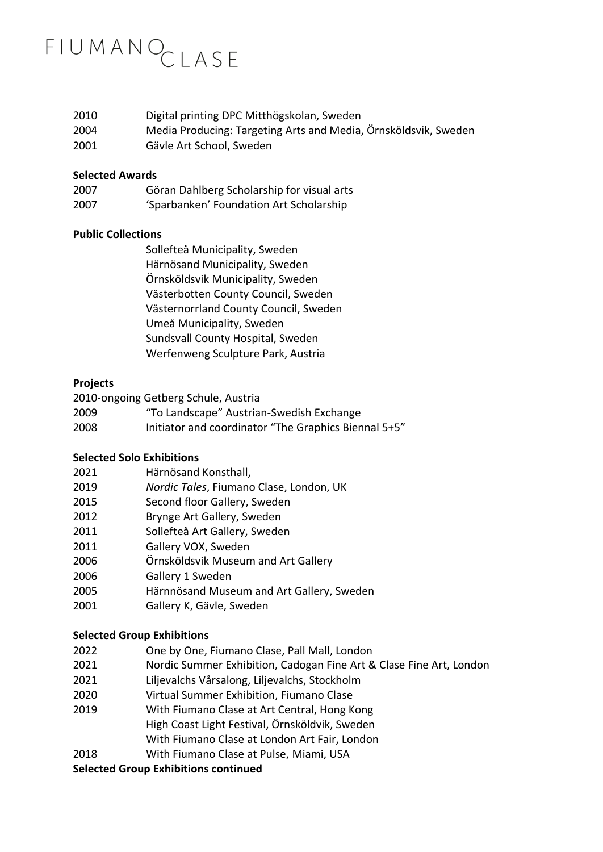### FIUMANOCLASE

| 2010 | Digital printing DPC Mitthögskolan, Sweden                      |
|------|-----------------------------------------------------------------|
| 2004 | Media Producing: Targeting Arts and Media, Örnsköldsvik, Sweden |
| 2001 | Gävle Art School, Sweden                                        |

#### **Selected Awards**

| 2007 | Göran Dahlberg Scholarship for visual arts |
|------|--------------------------------------------|
| 2007 | 'Sparbanken' Foundation Art Scholarship    |

#### **Public Collections**

Sollefteå Municipality, Sweden Härnösand Municipality, Sweden Örnsköldsvik Municipality, Sweden Västerbotten County Council, Sweden Västernorrland County Council, Sweden Umeå Municipality, Sweden Sundsvall County Hospital, Sweden Werfenweng Sculpture Park, Austria

#### **Projects**

2010-ongoing Getberg Schule, Austria 2009 "To Landscape" Austrian-Swedish Exchange

2008 Initiator and coordinator "The Graphics Biennal 5+5"

#### **Selected Solo Exhibitions**

- 2021 Härnösand Konsthall,
- 2019 *Nordic Tales*, Fiumano Clase, London, UK
- 2015 Second floor Gallery, Sweden
- 2012 Brynge Art Gallery, Sweden
- 2011 Sollefteå Art Gallery, Sweden
- 2011 Gallery VOX, Sweden
- 2006 Örnsköldsvik Museum and Art Gallery
- 2006 Gallery 1 Sweden
- 2005 Härnnösand Museum and Art Gallery, Sweden
- 2001 Gallery K, Gävle, Sweden

#### **Selected Group Exhibitions**

- 2022 One by One, Fiumano Clase, Pall Mall, London
- 2021 Nordic Summer Exhibition, Cadogan Fine Art & Clase Fine Art, London
- 2021 Liljevalchs Vårsalong, Liljevalchs, Stockholm
- 2020 Virtual Summer Exhibition, Fiumano Clase
- 2019 With Fiumano Clase at Art Central, Hong Kong High Coast Light Festival, Örnsköldvik, Sweden With Fiumano Clase at London Art Fair, London
- 2018 With Fiumano Clase at Pulse, Miami, USA

#### **Selected Group Exhibitions continued**